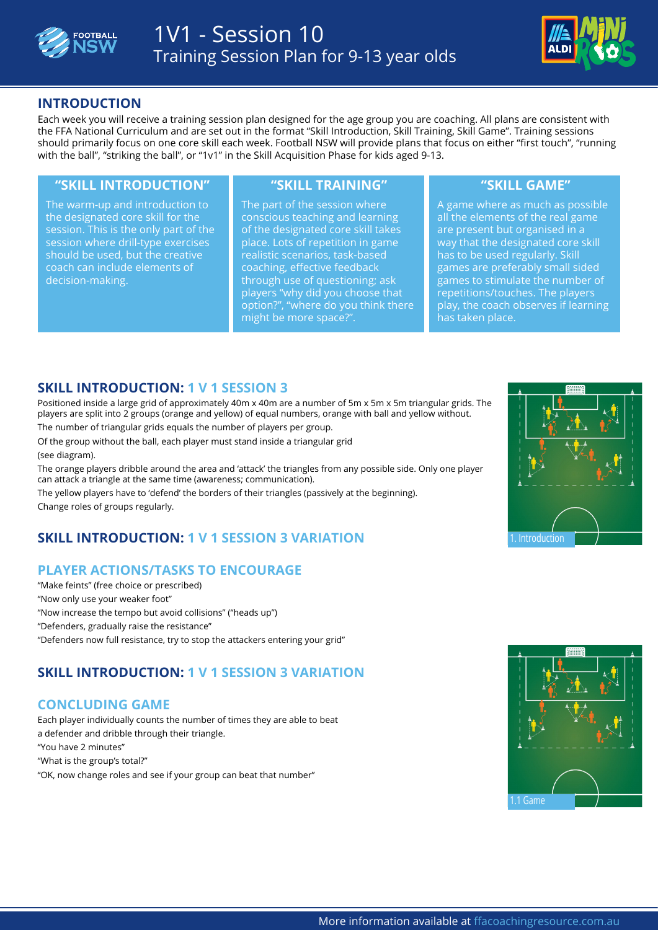



## **INTRODUCTION**

Each week you will receive a training session plan designed for the age group you are coaching. All plans are consistent with the FFA National Curriculum and are set out in the format "Skill Introduction, Skill Training, Skill Game". Training sessions should primarily focus on one core skill each week. Football NSW will provide plans that focus on either "first touch", "running with the ball", "striking the ball", or "1v1" in the Skill Acquisition Phase for kids aged 9-13.

### **"SKILL INTRODUCTION" "SKILL TRAINING" "SKILL GAME"**

The warm-up and introduction to the designated core skill for the session. This is the only part of the session where drill-type exercises should be used, but the creative coach can include elements of decision-making.

The part of the session where conscious teaching and learning of the designated core skill takes place. Lots of repetition in game realistic scenarios, task-based coaching, effective feedback through use of questioning; ask players "why did you choose that option?", "where do you think there might be more space?".

A game where as much as possible all the elements of the real game are present but organised in a way that the designated core skill has to be used regularly. Skill games are preferably small sided games to stimulate the number of repetitions/touches. The players play, the coach observes if learning has taken place.

## **SKILL INTRODUCTION: 1 V 1 SESSION 3**

Positioned inside a large grid of approximately 40m x 40m are a number of 5m x 5m x 5m triangular grids. The players are split into 2 groups (orange and yellow) of equal numbers, orange with ball and yellow without. The number of triangular grids equals the number of players per group.

Of the group without the ball, each player must stand inside a triangular grid (see diagram).

The orange players dribble around the area and 'attack' the triangles from any possible side. Only one player can attack a triangle at the same time (awareness; communication).

The yellow players have to 'defend' the borders of their triangles (passively at the beginning). Change roles of groups regularly.

# **SKILL INTRODUCTION: 1 V 1 SESSION 3 VARIATION**

# **PLAYER ACTIONS/TASKS TO ENCOURAGE**

"Make feints" (free choice or prescribed) "Now only use your weaker foot" "Now increase the tempo but avoid collisions" ("heads up") "Defenders, gradually raise the resistance" "Defenders now full resistance, try to stop the attackers entering your grid"

# **SKILL INTRODUCTION: 1 V 1 SESSION 3 VARIATION**

# **CONCLUDING GAME**

Each player individually counts the number of times they are able to beat a defender and dribble through their triangle. "You have 2 minutes" "What is the group's total?" "OK, now change roles and see if your group can beat that number"